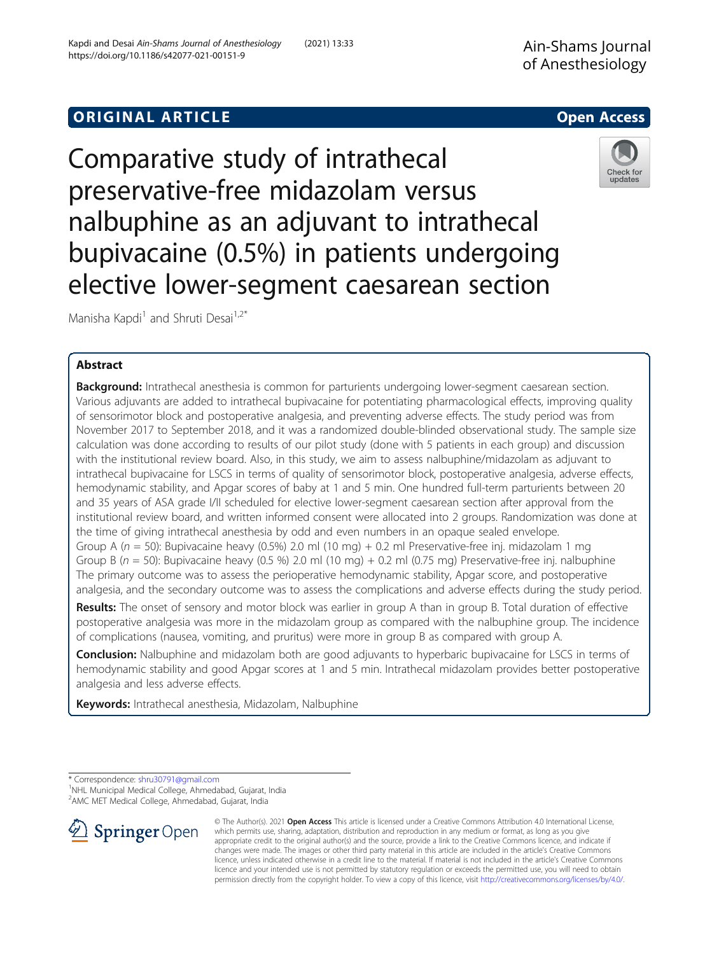# **ORIGINAL ARTICLE CONSERVANCE IN A LOCAL CONSERVANCE IN A LOCAL CONSERVANCE IN A LOCAL CONSERVANCE IN A LOCAL CONS**

Comparative study of intrathecal preservative-free midazolam versus nalbuphine as an adjuvant to intrathecal bupivacaine (0.5%) in patients undergoing elective lower-segment caesarean section

Manisha Kapdi<sup>1</sup> and Shruti Desai<sup>1,2\*</sup>

# Abstract

Background: Intrathecal anesthesia is common for parturients undergoing lower-segment caesarean section. Various adjuvants are added to intrathecal bupivacaine for potentiating pharmacological effects, improving quality of sensorimotor block and postoperative analgesia, and preventing adverse effects. The study period was from November 2017 to September 2018, and it was a randomized double-blinded observational study. The sample size calculation was done according to results of our pilot study (done with 5 patients in each group) and discussion with the institutional review board. Also, in this study, we aim to assess nalbuphine/midazolam as adjuvant to intrathecal bupivacaine for LSCS in terms of quality of sensorimotor block, postoperative analgesia, adverse effects, hemodynamic stability, and Apgar scores of baby at 1 and 5 min. One hundred full-term parturients between 20 and 35 years of ASA grade I/II scheduled for elective lower-segment caesarean section after approval from the institutional review board, and written informed consent were allocated into 2 groups. Randomization was done at the time of giving intrathecal anesthesia by odd and even numbers in an opaque sealed envelope. Group A ( $n = 50$ ): Bupivacaine heavy (0.5%) 2.0 ml (10 mg) + 0.2 ml Preservative-free inj. midazolam 1 mg Group B ( $n = 50$ ): Bupivacaine heavy (0.5 %) 2.0 ml (10 mg) + 0.2 ml (0.75 mg) Preservative-free inj. nalbuphine The primary outcome was to assess the perioperative hemodynamic stability, Apgar score, and postoperative analgesia, and the secondary outcome was to assess the complications and adverse effects during the study period.

Results: The onset of sensory and motor block was earlier in group A than in group B. Total duration of effective postoperative analgesia was more in the midazolam group as compared with the nalbuphine group. The incidence of complications (nausea, vomiting, and pruritus) were more in group B as compared with group A.

**Conclusion:** Nalbuphine and midazolam both are good adjuvants to hyperbaric bupivacaine for LSCS in terms of hemodynamic stability and good Apgar scores at 1 and 5 min. Intrathecal midazolam provides better postoperative analgesia and less adverse effects.

Keywords: Intrathecal anesthesia, Midazolam, Nalbuphine

\* Correspondence: [shru30791@gmail.com](mailto:shru30791@gmail.com) <sup>1</sup>

SpringerOpen

<sup>1</sup>NHL Municipal Medical College, Ahmedabad, Gujarat, India

2 AMC MET Medical College, Ahmedabad, Gujarat, India



permission directly from the copyright holder. To view a copy of this licence, visit <http://creativecommons.org/licenses/by/4.0/>.





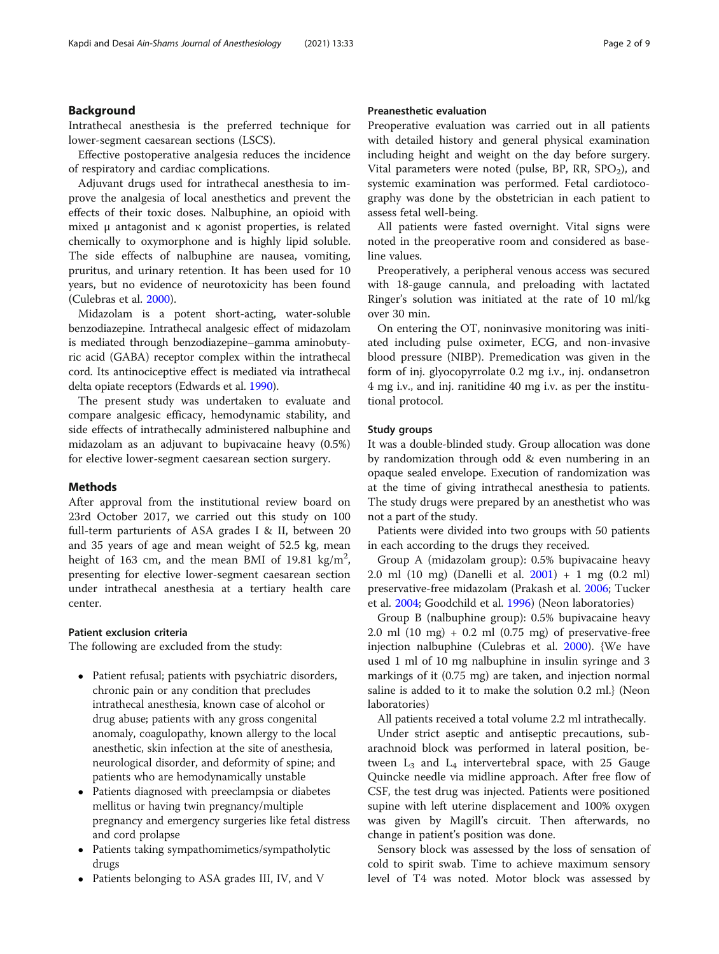# Background

Intrathecal anesthesia is the preferred technique for lower-segment caesarean sections (LSCS).

Effective postoperative analgesia reduces the incidence of respiratory and cardiac complications.

Adjuvant drugs used for intrathecal anesthesia to improve the analgesia of local anesthetics and prevent the effects of their toxic doses. Nalbuphine, an opioid with mixed μ antagonist and κ agonist properties, is related chemically to oxymorphone and is highly lipid soluble. The side effects of nalbuphine are nausea, vomiting, pruritus, and urinary retention. It has been used for 10 years, but no evidence of neurotoxicity has been found (Culebras et al. [2000\)](#page-8-0).

Midazolam is a potent short-acting, water-soluble benzodiazepine. Intrathecal analgesic effect of midazolam is mediated through benzodiazepine–gamma aminobutyric acid (GABA) receptor complex within the intrathecal cord. Its antinociceptive effect is mediated via intrathecal delta opiate receptors (Edwards et al. [1990\)](#page-8-0).

The present study was undertaken to evaluate and compare analgesic efficacy, hemodynamic stability, and side effects of intrathecally administered nalbuphine and midazolam as an adjuvant to bupivacaine heavy (0.5%) for elective lower-segment caesarean section surgery.

# Methods

After approval from the institutional review board on 23rd October 2017, we carried out this study on 100 full-term parturients of ASA grades I & II, between 20 and 35 years of age and mean weight of 52.5 kg, mean height of 163 cm, and the mean BMI of 19.81 kg/m<sup>2</sup>, presenting for elective lower-segment caesarean section under intrathecal anesthesia at a tertiary health care center.

### Patient exclusion criteria

The following are excluded from the study:

- Patient refusal; patients with psychiatric disorders, chronic pain or any condition that precludes intrathecal anesthesia, known case of alcohol or drug abuse; patients with any gross congenital anomaly, coagulopathy, known allergy to the local anesthetic, skin infection at the site of anesthesia, neurological disorder, and deformity of spine; and patients who are hemodynamically unstable
- Patients diagnosed with preeclampsia or diabetes mellitus or having twin pregnancy/multiple pregnancy and emergency surgeries like fetal distress and cord prolapse
- Patients taking sympathomimetics/sympatholytic drugs
- Patients belonging to ASA grades III, IV, and V

# Preanesthetic evaluation

Preoperative evaluation was carried out in all patients with detailed history and general physical examination including height and weight on the day before surgery. Vital parameters were noted (pulse, BP, RR,  $SPO<sub>2</sub>$ ), and systemic examination was performed. Fetal cardiotocography was done by the obstetrician in each patient to assess fetal well-being.

All patients were fasted overnight. Vital signs were noted in the preoperative room and considered as baseline values.

Preoperatively, a peripheral venous access was secured with 18-gauge cannula, and preloading with lactated Ringer's solution was initiated at the rate of 10 ml/kg over 30 min.

On entering the OT, noninvasive monitoring was initiated including pulse oximeter, ECG, and non-invasive blood pressure (NIBP). Premedication was given in the form of inj. glyocopyrrolate 0.2 mg i.v., inj. ondansetron 4 mg i.v., and inj. ranitidine 40 mg i.v. as per the institutional protocol.

## Study groups

It was a double-blinded study. Group allocation was done by randomization through odd & even numbering in an opaque sealed envelope. Execution of randomization was at the time of giving intrathecal anesthesia to patients. The study drugs were prepared by an anesthetist who was not a part of the study.

Patients were divided into two groups with 50 patients in each according to the drugs they received.

Group A (midazolam group): 0.5% bupivacaine heavy 2.0 ml (10 mg) (Danelli et al. [2001\)](#page-8-0) + 1 mg (0.2 ml) preservative-free midazolam (Prakash et al. [2006](#page-8-0); Tucker et al. [2004;](#page-8-0) Goodchild et al. [1996\)](#page-8-0) (Neon laboratories)

Group B (nalbuphine group): 0.5% bupivacaine heavy 2.0 ml  $(10 \text{ mg}) + 0.2 \text{ ml} (0.75 \text{ mg})$  of preservative-free injection nalbuphine (Culebras et al. [2000\)](#page-8-0). {We have used 1 ml of 10 mg nalbuphine in insulin syringe and 3 markings of it (0.75 mg) are taken, and injection normal saline is added to it to make the solution 0.2 ml.} (Neon laboratories)

All patients received a total volume 2.2 ml intrathecally.

Under strict aseptic and antiseptic precautions, subarachnoid block was performed in lateral position, between  $L_3$  and  $L_4$  intervertebral space, with 25 Gauge Quincke needle via midline approach. After free flow of CSF, the test drug was injected. Patients were positioned supine with left uterine displacement and 100% oxygen was given by Magill's circuit. Then afterwards, no change in patient's position was done.

Sensory block was assessed by the loss of sensation of cold to spirit swab. Time to achieve maximum sensory level of T4 was noted. Motor block was assessed by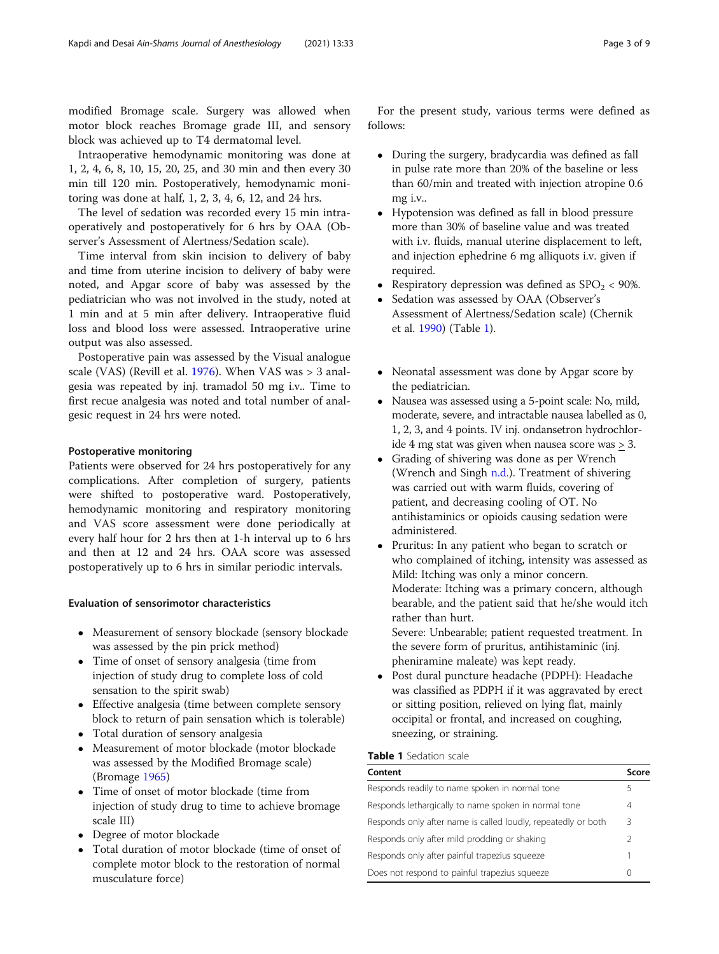modified Bromage scale. Surgery was allowed when motor block reaches Bromage grade III, and sensory block was achieved up to T4 dermatomal level.

Intraoperative hemodynamic monitoring was done at 1, 2, 4, 6, 8, 10, 15, 20, 25, and 30 min and then every 30 min till 120 min. Postoperatively, hemodynamic monitoring was done at half, 1, 2, 3, 4, 6, 12, and 24 hrs.

The level of sedation was recorded every 15 min intraoperatively and postoperatively for 6 hrs by OAA (Observer's Assessment of Alertness/Sedation scale).

Time interval from skin incision to delivery of baby and time from uterine incision to delivery of baby were noted, and Apgar score of baby was assessed by the pediatrician who was not involved in the study, noted at 1 min and at 5 min after delivery. Intraoperative fluid loss and blood loss were assessed. Intraoperative urine output was also assessed.

Postoperative pain was assessed by the Visual analogue scale (VAS) (Revill et al. [1976](#page-8-0)). When VAS was > 3 analgesia was repeated by inj. tramadol 50 mg i.v.. Time to first recue analgesia was noted and total number of analgesic request in 24 hrs were noted.

## Postoperative monitoring

Patients were observed for 24 hrs postoperatively for any complications. After completion of surgery, patients were shifted to postoperative ward. Postoperatively, hemodynamic monitoring and respiratory monitoring and VAS score assessment were done periodically at every half hour for 2 hrs then at 1-h interval up to 6 hrs and then at 12 and 24 hrs. OAA score was assessed postoperatively up to 6 hrs in similar periodic intervals.

#### Evaluation of sensorimotor characteristics

- Measurement of sensory blockade (sensory blockade was assessed by the pin prick method)
- Time of onset of sensory analgesia (time from injection of study drug to complete loss of cold sensation to the spirit swab)
- Effective analgesia (time between complete sensory block to return of pain sensation which is tolerable)
- Total duration of sensory analgesia
- Measurement of motor blockade (motor blockade was assessed by the Modified Bromage scale) (Bromage [1965\)](#page-8-0)
- Time of onset of motor blockade (time from injection of study drug to time to achieve bromage scale III)
- Degree of motor blockade
- Total duration of motor blockade (time of onset of complete motor block to the restoration of normal musculature force)

For the present study, various terms were defined as follows:

- During the surgery, bradycardia was defined as fall in pulse rate more than 20% of the baseline or less than 60/min and treated with injection atropine 0.6 mg i.v..
- Hypotension was defined as fall in blood pressure more than 30% of baseline value and was treated with i.v. fluids, manual uterine displacement to left, and injection ephedrine 6 mg alliquots i.v. given if required.
- Respiratory depression was defined as  $\text{SPO}_2$  < 90%.<br>• Sedation was assessed by OAA (Observer's
- Sedation was assessed by OAA (Observer's Assessment of Alertness/Sedation scale) (Chernik et al. [1990](#page-8-0)) (Table 1).
- Neonatal assessment was done by Apgar score by the pediatrician.
- Nausea was assessed using a 5-point scale: No, mild, moderate, severe, and intractable nausea labelled as 0, 1, 2, 3, and 4 points. IV inj. ondansetron hydrochloride 4 mg stat was given when nausea score was > 3.
- Grading of shivering was done as per Wrench (Wrench and Singh [n.d.\)](#page-8-0). Treatment of shivering was carried out with warm fluids, covering of patient, and decreasing cooling of OT. No antihistaminics or opioids causing sedation were administered.
- Pruritus: In any patient who began to scratch or who complained of itching, intensity was assessed as Mild: Itching was only a minor concern. Moderate: Itching was a primary concern, although bearable, and the patient said that he/she would itch rather than hurt.

Severe: Unbearable; patient requested treatment. In the severe form of pruritus, antihistaminic (inj. pheniramine maleate) was kept ready.

 Post dural puncture headache (PDPH): Headache was classified as PDPH if it was aggravated by erect or sitting position, relieved on lying flat, mainly occipital or frontal, and increased on coughing, sneezing, or straining.

#### Table 1 Sedation scale

| Content                                                       | Score            |
|---------------------------------------------------------------|------------------|
| Responds readily to name spoken in normal tone                | ╮                |
| Responds lethargically to name spoken in normal tone          | 4                |
| Responds only after name is called loudly, repeatedly or both | 3                |
| Responds only after mild prodding or shaking                  |                  |
| Responds only after painful trapezius squeeze                 |                  |
| Does not respond to painful trapezius squeeze                 | $\left( \right)$ |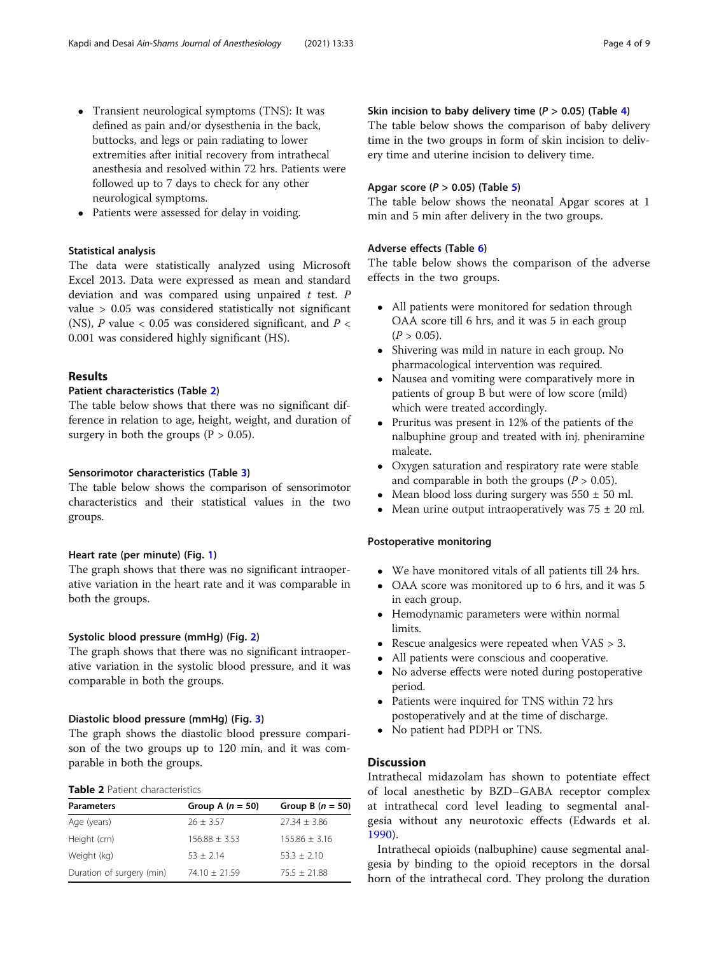- <span id="page-3-0"></span> Transient neurological symptoms (TNS): It was defined as pain and/or dysesthenia in the back, buttocks, and legs or pain radiating to lower extremities after initial recovery from intrathecal anesthesia and resolved within 72 hrs. Patients were followed up to 7 days to check for any other neurological symptoms.
- Patients were assessed for delay in voiding.

## Statistical analysis

The data were statistically analyzed using Microsoft Excel 2013. Data were expressed as mean and standard deviation and was compared using unpaired  $t$  test.  $P$ value > 0.05 was considered statistically not significant (NS), P value  $< 0.05$  was considered significant, and P  $<$ 0.001 was considered highly significant (HS).

# Results

# Patient characteristics (Table 2)

The table below shows that there was no significant difference in relation to age, height, weight, and duration of surgery in both the groups ( $P > 0.05$ ).

#### Sensorimotor characteristics (Table [3\)](#page-4-0)

The table below shows the comparison of sensorimotor characteristics and their statistical values in the two groups.

# Heart rate (per minute) (Fig. [1\)](#page-4-0)

The graph shows that there was no significant intraoperative variation in the heart rate and it was comparable in both the groups.

## Systolic blood pressure (mmHg) (Fig. [2](#page-5-0))

The graph shows that there was no significant intraoperative variation in the systolic blood pressure, and it was comparable in both the groups.

# Diastolic blood pressure (mmHg) (Fig. [3](#page-5-0))

The graph shows the diastolic blood pressure comparison of the two groups up to 120 min, and it was comparable in both the groups.

## Table 2 Patient characteristics

| <b>Parameters</b>         | Group A $(n = 50)$ | Group B $(n = 50)$ |
|---------------------------|--------------------|--------------------|
| Age (years)               | $26 \pm 3.57$      | $27.34 + 3.86$     |
| Height (cm)               | $156.88 + 3.53$    | $155.86 + 3.16$    |
| Weight (kg)               | $53 + 2.14$        | $53.3 + 2.10$      |
| Duration of surgery (min) | $74.10 + 21.59$    | $75.5 + 21.88$     |

# Skin incision to baby delivery time ( $P > 0.05$ ) (Table [4](#page-6-0))

The table below shows the comparison of baby delivery time in the two groups in form of skin incision to delivery time and uterine incision to delivery time.

## Apgar score ( $P > 0.05$ ) (Table [5\)](#page-6-0)

The table below shows the neonatal Apgar scores at 1 min and 5 min after delivery in the two groups.

# Adverse effects (Table [6\)](#page-6-0)

The table below shows the comparison of the adverse effects in the two groups.

- All patients were monitored for sedation through OAA score till 6 hrs, and it was 5 in each group  $(P > 0.05)$ .
- Shivering was mild in nature in each group. No pharmacological intervention was required.
- Nausea and vomiting were comparatively more in patients of group B but were of low score (mild) which were treated accordingly.
- Pruritus was present in 12% of the patients of the nalbuphine group and treated with inj. pheniramine maleate.
- Oxygen saturation and respiratory rate were stable and comparable in both the groups  $(P > 0.05)$ .
- Mean blood loss during surgery was  $550 \pm 50$  ml.
- Mean urine output intraoperatively was  $75 \pm 20$  ml.

# Postoperative monitoring

- We have monitored vitals of all patients till 24 hrs.<br>• OAA score was monitored up to 6 hrs. and it was!
- OAA score was monitored up to 6 hrs, and it was 5 in each group.
- Hemodynamic parameters were within normal limits.
- Rescue analgesics were repeated when  $VAS > 3$ .
- All patients were conscious and cooperative.
- No adverse effects were noted during postoperative period.
- Patients were inquired for TNS within 72 hrs postoperatively and at the time of discharge.
- No patient had PDPH or TNS.

# **Discussion**

Intrathecal midazolam has shown to potentiate effect of local anesthetic by BZD–GABA receptor complex at intrathecal cord level leading to segmental analgesia without any neurotoxic effects (Edwards et al. [1990\)](#page-8-0).

Intrathecal opioids (nalbuphine) cause segmental analgesia by binding to the opioid receptors in the dorsal horn of the intrathecal cord. They prolong the duration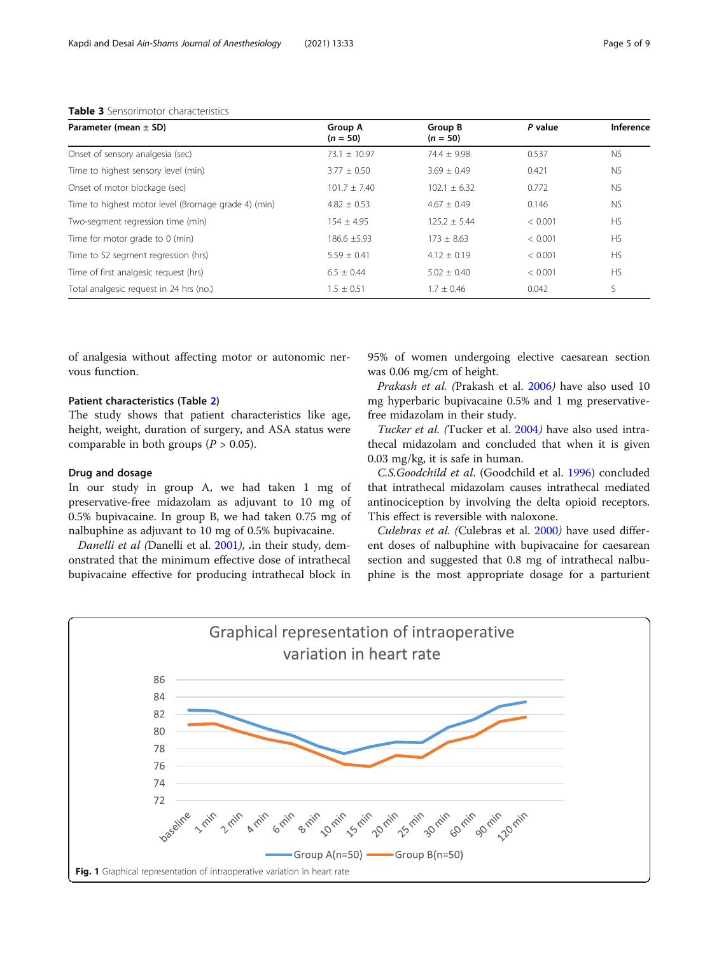| Parameter (mean $\pm$ SD)                           | Group A<br>$(n = 50)$ | Group B<br>$(n = 50)$ | P value | Inference |
|-----------------------------------------------------|-----------------------|-----------------------|---------|-----------|
| Onset of sensory analgesia (sec)                    | $73.1 \pm 10.97$      | $74.4 \pm 9.98$       | 0.537   | <b>NS</b> |
| Time to highest sensory level (min)                 | $3.77 \pm 0.50$       | $3.69 \pm 0.49$       | 0.421   | <b>NS</b> |
| Onset of motor blockage (sec)                       | $101.7 + 7.40$        | $102.1 + 6.32$        | 0.772   | <b>NS</b> |
| Time to highest motor level (Bromage grade 4) (min) | $4.82 \pm 0.53$       | $4.67 + 0.49$         | 0.146   | <b>NS</b> |
| Two-segment regression time (min)                   | $154 + 495$           | $125.2 \pm 5.44$      | < 0.001 | <b>HS</b> |
| Time for motor grade to 0 (min)                     | $186.6 + 5.93$        | $173 + 8.63$          | < 0.001 | <b>HS</b> |
| Time to S2 segment regression (hrs)                 | $5.59 \pm 0.41$       | $4.12 + 0.19$         | < 0.001 | <b>HS</b> |
| Time of first analgesic request (hrs)               | $6.5 + 0.44$          | $5.02 + 0.40$         | < 0.001 | <b>HS</b> |
| Total analgesic reguest in 24 hrs (no.)             | $1.5 \pm 0.51$        | $1.7 + 0.46$          | 0.042   | S         |

<span id="page-4-0"></span>Table 3 Sensorimotor characteristics

of analgesia without affecting motor or autonomic nervous function.

# Patient characteristics (Table [2](#page-3-0))

The study shows that patient characteristics like age, height, weight, duration of surgery, and ASA status were comparable in both groups ( $P > 0.05$ ).

# Drug and dosage

In our study in group A, we had taken 1 mg of preservative-free midazolam as adjuvant to 10 mg of 0.5% bupivacaine. In group B, we had taken 0.75 mg of nalbuphine as adjuvant to 10 mg of 0.5% bupivacaine.

Danelli et al (Danelli et al. [2001](#page-8-0)), .in their study, demonstrated that the minimum effective dose of intrathecal bupivacaine effective for producing intrathecal block in 95% of women undergoing elective caesarean section was 0.06 mg/cm of height.

Prakash et al. (Prakash et al. [2006](#page-8-0)) have also used 10 mg hyperbaric bupivacaine 0.5% and 1 mg preservativefree midazolam in their study.

Tucker et al. (Tucker et al. [2004](#page-8-0)) have also used intrathecal midazolam and concluded that when it is given 0.03 mg/kg, it is safe in human.

C.S.Goodchild et al. (Goodchild et al. [1996\)](#page-8-0) concluded that intrathecal midazolam causes intrathecal mediated antinociception by involving the delta opioid receptors. This effect is reversible with naloxone.

Culebras et al. (Culebras et al. [2000](#page-8-0)) have used different doses of nalbuphine with bupivacaine for caesarean section and suggested that 0.8 mg of intrathecal nalbuphine is the most appropriate dosage for a parturient

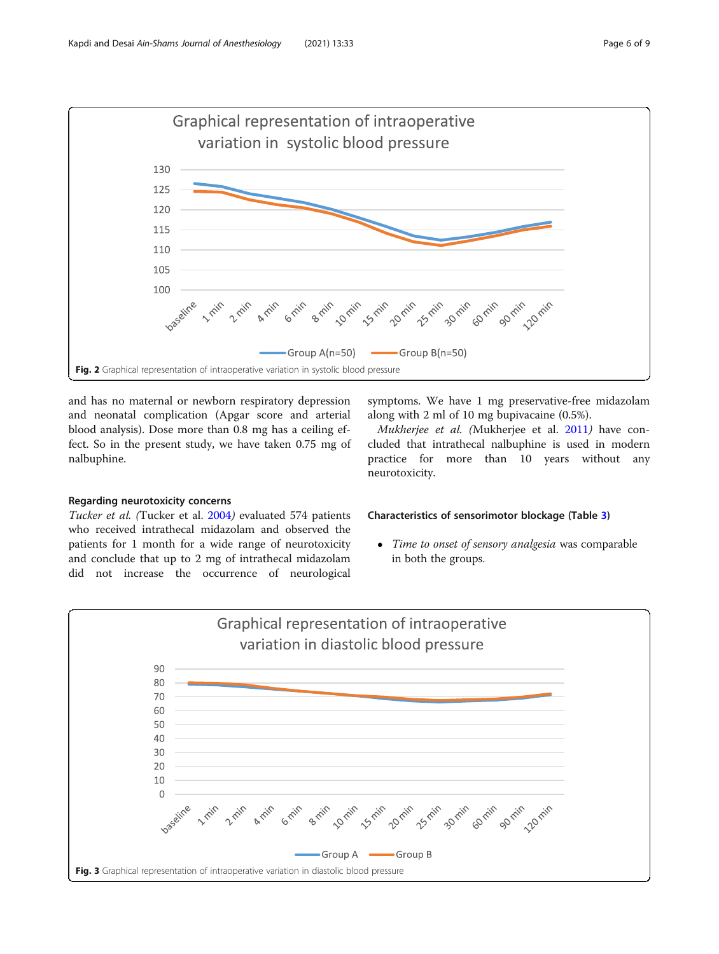<span id="page-5-0"></span>

and has no maternal or newborn respiratory depression and neonatal complication (Apgar score and arterial blood analysis). Dose more than 0.8 mg has a ceiling effect. So in the present study, we have taken 0.75 mg of nalbuphine.

# symptoms. We have 1 mg preservative-free midazolam along with 2 ml of 10 mg bupivacaine (0.5%).

Mukherjee et al. (Mukherjee et al. [2011](#page-8-0)) have concluded that intrathecal nalbuphine is used in modern practice for more than 10 years without any neurotoxicity.

# Regarding neurotoxicity concerns

Tucker et al. (Tucker et al. [2004](#page-8-0)) evaluated 574 patients who received intrathecal midazolam and observed the patients for 1 month for a wide range of neurotoxicity and conclude that up to 2 mg of intrathecal midazolam did not increase the occurrence of neurological

# Characteristics of sensorimotor blockage (Table [3\)](#page-4-0)

• Time to onset of sensory analgesia was comparable in both the groups.

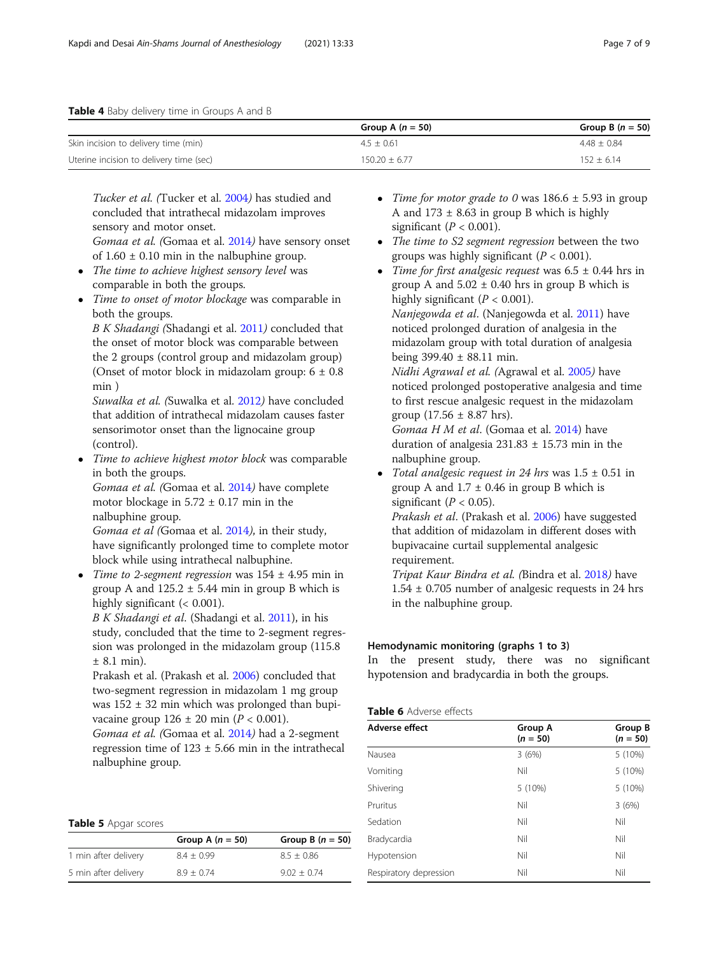<span id="page-6-0"></span>

|                                         | Group A $(n = 50)$ | Group B $(n = 50)$ |
|-----------------------------------------|--------------------|--------------------|
| Skin incision to delivery time (min)    | $4.5 + 0.61$       | $4.48 + 0.84$      |
| Uterine incision to delivery time (sec) | $150.20 + 6.77$    | $152 + 6.14$       |

Tucker et al. (Tucker et al. [2004](#page-8-0)) has studied and concluded that intrathecal midazolam improves sensory and motor onset. Gomaa et al. (Gomaa et al. [2014](#page-8-0)) have sensory onset

of  $1.60 \pm 0.10$  min in the nalbuphine group.

- The time to achieve highest sensory level was comparable in both the groups.
- Time to onset of motor blockage was comparable in both the groups.

B K Shadangi (Shadangi et al. [2011](#page-8-0)) concluded that the onset of motor block was comparable between the 2 groups (control group and midazolam group) (Onset of motor block in midazolam group:  $6 \pm 0.8$ ) min )

Suwalka et al. (Suwalka et al. [2012](#page-8-0)) have concluded that addition of intrathecal midazolam causes faster sensorimotor onset than the lignocaine group (control).

• Time to achieve highest motor block was comparable in both the groups.

Gomaa et al. (Gomaa et al. [2014](#page-8-0)) have complete motor blockage in  $5.72 \pm 0.17$  min in the nalbuphine group.

Gomaa et al (Gomaa et al. [2014](#page-8-0)), in their study, have significantly prolonged time to complete motor block while using intrathecal nalbuphine.

• Time to 2-segment regression was  $154 \pm 4.95$  min in group A and  $125.2 \pm 5.44$  min in group B which is highly significant (< 0.001).

B K Shadangi et al. (Shadangi et al. [2011\)](#page-8-0), in his study, concluded that the time to 2-segment regression was prolonged in the midazolam group (115.8  $± 8.1$  min).

Prakash et al. (Prakash et al. [2006](#page-8-0)) concluded that two-segment regression in midazolam 1 mg group was  $152 \pm 32$  min which was prolonged than bupivacaine group  $126 \pm 20$  min ( $P < 0.001$ ).

Gomaa et al. (Gomaa et al. [2014](#page-8-0)) had a 2-segment regression time of  $123 \pm 5.66$  min in the intrathecal nalbuphine group.

Table 5 Apgar scores

|                      | Group A $(n = 50)$ | Group B $(n = 50)$ |
|----------------------|--------------------|--------------------|
| 1 min after delivery | $8.4 + 0.99$       | $8.5 + 0.86$       |
| 5 min after delivery | $8.9 + 0.74$       | $9.02 + 0.74$      |

- Time for motor grade to 0 was  $186.6 \pm 5.93$  in group A and  $173 \pm 8.63$  in group B which is highly significant ( $P < 0.001$ ).
- The time to S2 segment regression between the two groups was highly significant  $(P < 0.001)$ .
- Time for first analgesic request was  $6.5 \pm 0.44$  hrs in group A and  $5.02 \pm 0.40$  hrs in group B which is highly significant  $(P < 0.001)$ . Nanjegowda et al. (Nanjegowda et al. [2011](#page-8-0)) have noticed prolonged duration of analgesia in the midazolam group with total duration of analgesia

being 399.40 ± 88.11 min. Nidhi Agrawal et al. (Agrawal et al. [2005](#page-8-0)) have

noticed prolonged postoperative analgesia and time to first rescue analgesic request in the midazolam group  $(17.56 \pm 8.87 \text{ hrs})$ .

Gomaa H M et al. (Gomaa et al. [2014\)](#page-8-0) have duration of analgesia  $231.83 \pm 15.73$  min in the nalbuphine group.

Total analgesic request in 24 hrs was  $1.5 \pm 0.51$  in group A and  $1.7 \pm 0.46$  in group B which is significant ( $P < 0.05$ ).

Prakash et al. (Prakash et al. [2006](#page-8-0)) have suggested that addition of midazolam in different doses with bupivacaine curtail supplemental analgesic requirement.

Tripat Kaur Bindra et al. (Bindra et al. [2018](#page-8-0)) have  $1.54 \pm 0.705$  number of analgesic requests in 24 hrs in the nalbuphine group.

# Hemodynamic monitoring (graphs 1 to 3)

In the present study, there was no significant hypotension and bradycardia in both the groups.

| Table 6 Adverse effects |  |
|-------------------------|--|
|-------------------------|--|

| Adverse effect         | <b>Group A</b><br>$(n = 50)$ | Group B<br>$(n = 50)$ |
|------------------------|------------------------------|-----------------------|
| Nausea                 | 3(6%)                        | 5(10%)                |
| Vomiting               | Nil                          | 5(10%)                |
| Shivering              | 5 (10%)                      | 5 (10%)               |
| Pruritus               | Nil                          | 3(6%)                 |
| Sedation               | Nil                          | Nil                   |
| Bradycardia            | Nil                          | Nil                   |
| Hypotension            | Nil                          | Nil                   |
| Respiratory depression | Nil                          | Nil                   |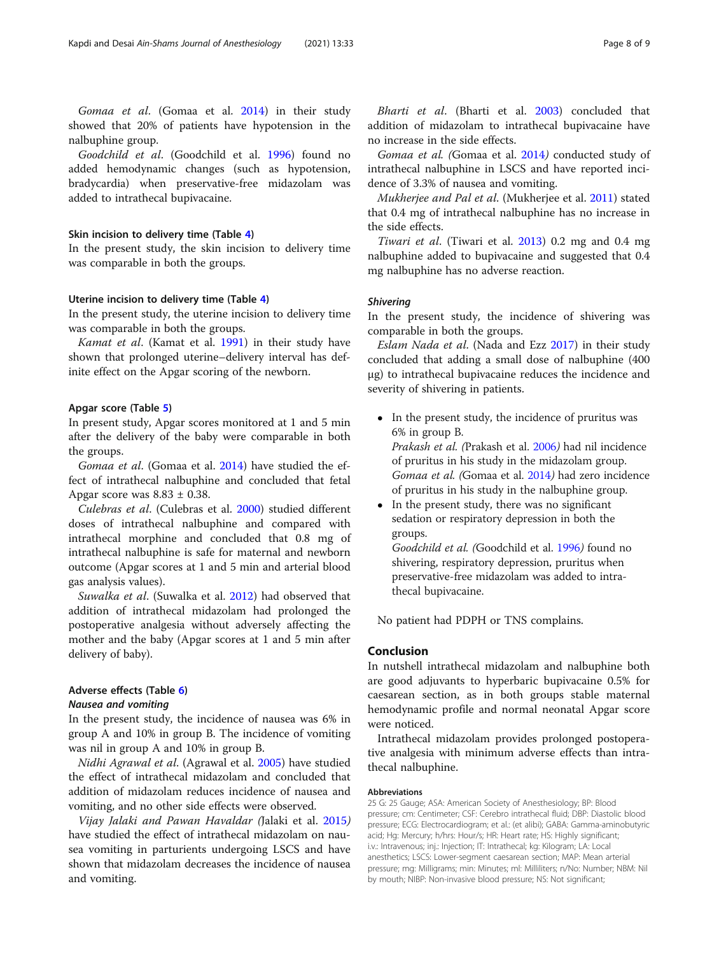Gomaa et al. (Gomaa et al. [2014](#page-8-0)) in their study showed that 20% of patients have hypotension in the nalbuphine group.

Goodchild et al. (Goodchild et al. [1996](#page-8-0)) found no added hemodynamic changes (such as hypotension, bradycardia) when preservative-free midazolam was added to intrathecal bupivacaine.

#### Skin incision to delivery time (Table [4\)](#page-6-0)

In the present study, the skin incision to delivery time was comparable in both the groups.

#### Uterine incision to delivery time (Table [4](#page-6-0))

In the present study, the uterine incision to delivery time was comparable in both the groups.

Kamat et al. (Kamat et al. [1991](#page-8-0)) in their study have shown that prolonged uterine–delivery interval has definite effect on the Apgar scoring of the newborn.

#### Apgar score (Table [5\)](#page-6-0)

In present study, Apgar scores monitored at 1 and 5 min after the delivery of the baby were comparable in both the groups.

Gomaa et al. (Gomaa et al. [2014\)](#page-8-0) have studied the effect of intrathecal nalbuphine and concluded that fetal Apgar score was  $8.83 \pm 0.38$ .

Culebras et al. (Culebras et al. [2000\)](#page-8-0) studied different doses of intrathecal nalbuphine and compared with intrathecal morphine and concluded that 0.8 mg of intrathecal nalbuphine is safe for maternal and newborn outcome (Apgar scores at 1 and 5 min and arterial blood gas analysis values).

Suwalka et al. (Suwalka et al. [2012\)](#page-8-0) had observed that addition of intrathecal midazolam had prolonged the postoperative analgesia without adversely affecting the mother and the baby (Apgar scores at 1 and 5 min after delivery of baby).

# Adverse effects (Table [6\)](#page-6-0)

# Nausea and vomiting

In the present study, the incidence of nausea was 6% in group A and 10% in group B. The incidence of vomiting was nil in group A and 10% in group B.

Nidhi Agrawal et al. (Agrawal et al. [2005](#page-8-0)) have studied the effect of intrathecal midazolam and concluded that addition of midazolam reduces incidence of nausea and vomiting, and no other side effects were observed.

Vijay Jalaki and Pawan Havaldar (Jalaki et al. [2015](#page-8-0)) have studied the effect of intrathecal midazolam on nausea vomiting in parturients undergoing LSCS and have shown that midazolam decreases the incidence of nausea and vomiting.

Bharti et al. (Bharti et al. [2003](#page-8-0)) concluded that addition of midazolam to intrathecal bupivacaine have no increase in the side effects.

Gomaa et al. (Gomaa et al. [2014](#page-8-0)) conducted study of intrathecal nalbuphine in LSCS and have reported incidence of 3.3% of nausea and vomiting.

Mukherjee and Pal et al. (Mukherjee et al. [2011](#page-8-0)) stated that 0.4 mg of intrathecal nalbuphine has no increase in the side effects.

Tiwari et al. (Tiwari et al. [2013](#page-8-0)) 0.2 mg and 0.4 mg nalbuphine added to bupivacaine and suggested that 0.4 mg nalbuphine has no adverse reaction.

# **Shivering**

In the present study, the incidence of shivering was comparable in both the groups.

Eslam Nada et al. (Nada and Ezz [2017\)](#page-8-0) in their study concluded that adding a small dose of nalbuphine (400 μg) to intrathecal bupivacaine reduces the incidence and severity of shivering in patients.

- In the present study, the incidence of pruritus was 6% in group B. Prakash et al. (Prakash et al. [2006](#page-8-0)) had nil incidence of pruritus in his study in the midazolam group. Gomaa et al. (Gomaa et al. [2014](#page-8-0)) had zero incidence of pruritus in his study in the nalbuphine group.
- In the present study, there was no significant sedation or respiratory depression in both the groups. Goodchild et al. (Goodchild et al. [1996](#page-8-0)) found no

shivering, respiratory depression, pruritus when preservative-free midazolam was added to intrathecal bupivacaine.

No patient had PDPH or TNS complains.

## Conclusion

In nutshell intrathecal midazolam and nalbuphine both are good adjuvants to hyperbaric bupivacaine 0.5% for caesarean section, as in both groups stable maternal hemodynamic profile and normal neonatal Apgar score were noticed.

Intrathecal midazolam provides prolonged postoperative analgesia with minimum adverse effects than intrathecal nalbuphine.

#### Abbreviations

25 G: 25 Gauge; ASA: American Society of Anesthesiology; BP: Blood pressure; cm: Centimeter; CSF: Cerebro intrathecal fluid; DBP: Diastolic blood pressure; ECG: Electrocardiogram; et al.: (et alibi); GABA: Gamma-aminobutyric acid; Hg: Mercury; h/hrs: Hour/s; HR: Heart rate; HS: Highly significant; i.v.: Intravenous; inj.: Injection; IT: Intrathecal; kg: Kilogram; LA: Local anesthetics; LSCS: Lower-segment caesarean section; MAP: Mean arterial pressure; mg: Milligrams; min: Minutes; ml: Milliliters; n/No: Number; NBM: Nil by mouth; NIBP: Non-invasive blood pressure; NS: Not significant;